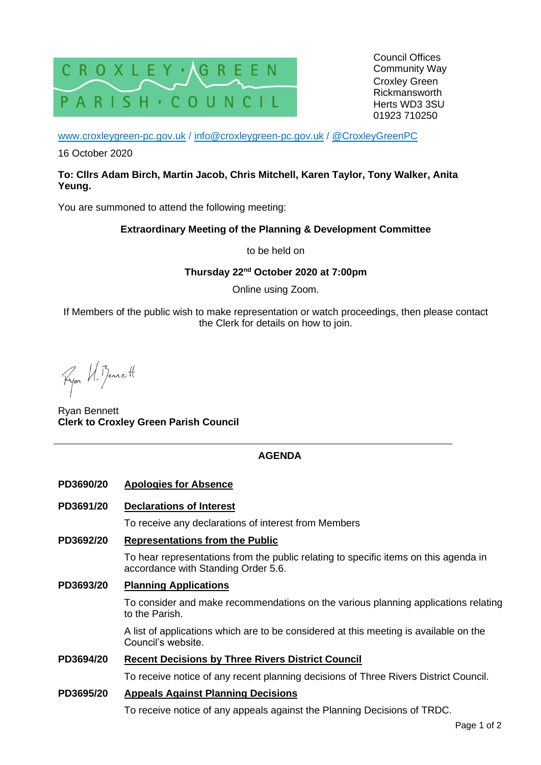

[www.croxleygreen-pc.gov.uk](http://www.croxleygreen-pc.gov.uk/) / [info@croxleygreen-pc.gov.uk](mailto:info@croxleygreen-pc.gov.uk) / [@CroxleyGreenPC](https://twitter.com/CroxleyGreenPC)

16 October 2020

#### **To: Cllrs Adam Birch, Martin Jacob, Chris Mitchell, Karen Taylor, Tony Walker, Anita Yeung.**

You are summoned to attend the following meeting:

#### **Extraordinary Meeting of the Planning & Development Committee**

to be held on

**Thursday 22nd October 2020 at 7:00pm**

Online using Zoom.

If Members of the public wish to make representation or watch proceedings, then please contact the Clerk for details on how to join.

Ryon U. Bennett

Ryan Bennett **Clerk to Croxley Green Parish Council**

### **AGENDA**

- **PD3690/20 Apologies for Absence**
- **PD3691/20 Declarations of Interest**

To receive any declarations of interest from Members

**PD3692/20 Representations from the Public**

To hear representations from the public relating to specific items on this agenda in accordance with Standing Order 5.6.

**PD3693/20 Planning Applications**

To consider and make recommendations on the various planning applications relating to the Parish.

A list of applications which are to be considered at this meeting is available on the Council's website.

#### **PD3694/20 Recent Decisions by Three Rivers District Council**

To receive notice of any recent planning decisions of Three Rivers District Council.

#### **PD3695/20 Appeals Against Planning Decisions**

To receive notice of any appeals against the Planning Decisions of TRDC.